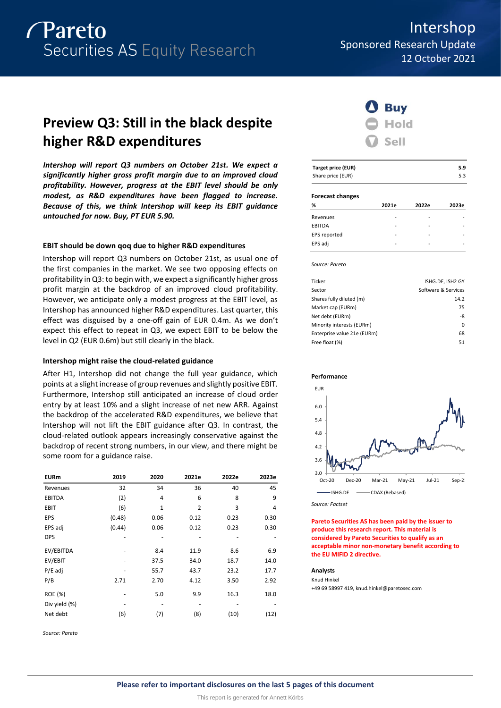

Intershop Sponsored Research Update 12 October 2021

# **Preview Q3: Still in the black despite higher R&D expenditures**

*Intershop will report Q3 numbers on October 21st. We expect a significantly higher gross profit margin due to an improved cloud profitability. However, progress at the EBIT level should be only modest, as R&D expenditures have been flagged to increase. Because of this, we think Intershop will keep its EBIT guidance untouched for now. Buy, PT EUR 5.90.*

### **EBIT should be down qoq due to higher R&D expenditures**

Intershop will report Q3 numbers on October 21st, as usual one of the first companies in the market. We see two opposing effects on profitability in Q3: to begin with, we expect a significantly higher gross profit margin at the backdrop of an improved cloud profitability. However, we anticipate only a modest progress at the EBIT level, as Intershop has announced higher R&D expenditures. Last quarter, this effect was disguised by a one-off gain of EUR 0.4m. As we don't expect this effect to repeat in Q3, we expect EBIT to be below the level in Q2 (EUR 0.6m) but still clearly in the black.

### **Intershop might raise the cloud-related guidance**

After H1, Intershop did not change the full year guidance, which points at a slight increase of group revenues and slightly positive EBIT. Furthermore, Intershop still anticipated an increase of cloud order entry by at least 10% and a slight increase of net new ARR. Against the backdrop of the accelerated R&D expenditures, we believe that Intershop will not lift the EBIT guidance after Q3. In contrast, the cloud-related outlook appears increasingly conservative against the backdrop of recent strong numbers, in our view, and there might be some room for a guidance raise.

| <b>EURm</b>    | 2019   | 2020 | 2021e          | 2022e | 2023e |
|----------------|--------|------|----------------|-------|-------|
| Revenues       | 32     | 34   | 36             | 40    | 45    |
| <b>EBITDA</b>  | (2)    | 4    | 6              | 8     | 9     |
| <b>EBIT</b>    | (6)    | 1    | $\overline{2}$ | 3     | 4     |
| EPS            | (0.48) | 0.06 | 0.12           | 0.23  | 0.30  |
| EPS adj        | (0.44) | 0.06 | 0.12           | 0.23  | 0.30  |
| <b>DPS</b>     |        |      |                |       |       |
| EV/EBITDA      | -      | 8.4  | 11.9           | 8.6   | 6.9   |
| EV/EBIT        |        | 37.5 | 34.0           | 18.7  | 14.0  |
| $P/E$ adj      |        | 55.7 | 43.7           | 23.2  | 17.7  |
| P/B            | 2.71   | 2.70 | 4.12           | 3.50  | 2.92  |
| <b>ROE (%)</b> |        | 5.0  | 9.9            | 16.3  | 18.0  |
| Div yield (%)  |        |      |                |       |       |
| Net debt       | (6)    | (7)  | (8)            | (10)  | (12)  |

*Source: Pareto*



| Target price (EUR) | 5.9 |
|--------------------|-----|
| Share price (EUR)  | 5.3 |

#### **Forecast changes**

| %             | 2021e | 2022e | 2023e |
|---------------|-------|-------|-------|
| Revenues      |       |       |       |
| <b>EBITDA</b> |       |       |       |
| EPS reported  |       |       |       |
| EPS adj       | ۰     | -     |       |
|               |       |       |       |

*Source: Pareto*

| Ticker                      | ISHG.DE, ISH2 GY    |
|-----------------------------|---------------------|
| Sector                      | Software & Services |
| Shares fully diluted (m)    | 14.2                |
| Market cap (EURm)           | 75                  |
| Net debt (EURm)             | -8                  |
| Minority interests (EURm)   | 0                   |
| Enterprise value 21e (EURm) | 68                  |
| Free float (%)              | 51                  |
|                             |                     |





*Source: Factset*

**Pareto Securities AS has been paid by the issuer to produce this research report. This material is considered by Pareto Securities to qualify as an acceptable minor non-monetary benefit according to the EU MIFID 2 directive.**

#### **Analysts**

Knud Hinkel +49 69 58997 419, knud.hinkel@paretosec.com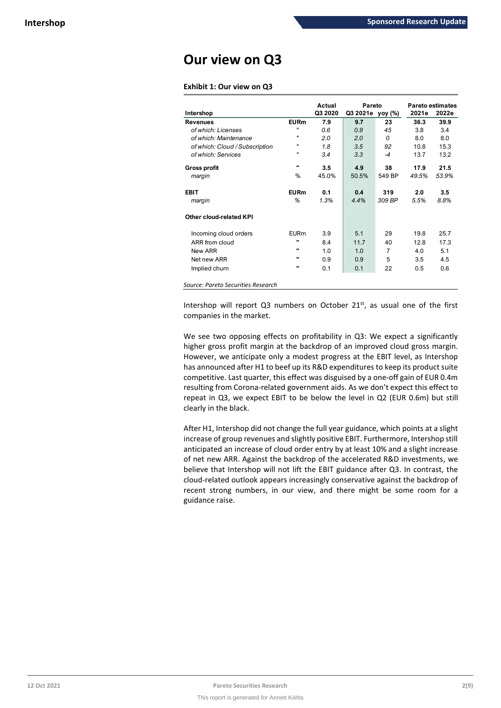# **Our view on Q3**

## **Exhibit 1: Our view on Q3**

|                                |                   | Actual  | Pareto           |          |       | Pareto estimates |
|--------------------------------|-------------------|---------|------------------|----------|-------|------------------|
| Intershop                      |                   | Q3 2020 | Q3 2021e_yoy (%) |          | 2021e | 2022e            |
| <b>Revenues</b>                | <b>EURm</b>       | 7.9     | 9.7              | 23       | 36.3  | 39.9             |
| of which: Licenses             | $\mathbf{u}$      | 0.6     | 0.9              | 45       | 3.8   | 3.4              |
| of which: Maintenance          | $^{\prime\prime}$ | 2.0     | 2.0              | $\Omega$ | 8.0   | 8.0              |
| of which: Cloud / Subscription | "                 | 1.8     | 3.5              | 92       | 10.8  | 15.3             |
| of which: Services             | $^{\prime\prime}$ | 3.4     | 3.3              | $-4$     | 13.7  | 13.2             |
| <b>Gross profit</b>            |                   | 3.5     | 4.9              | 38       | 17.9  | 21.5             |
| margin                         | %                 | 45.0%   | 50.5%            | 549 BP   | 49.5% | 53.9%            |
| <b>EBIT</b>                    | <b>EURm</b>       | 0.1     | 0.4              | 319      | 2.0   | 3.5              |
| margin                         | %                 | 1.3%    | 4.4%             | 309 BP   | 5.5%  | 8.8%             |
| Other cloud-related KPI        |                   |         |                  |          |       |                  |
| Incoming cloud orders          | <b>EURm</b>       | 3.9     | 5.1              | 29       | 19.8  | 25.7             |
| ARR from cloud                 |                   | 8.4     | 11.7             | 40       | 12.8  | 17.3             |
| New ARR                        |                   | 1.0     | 1.0              | 7        | 4.0   | 5.1              |
| Net new ARR                    | $\bullet$         | 0.9     | 0.9              | 5        | 3.5   | 4.5              |
| Implied churn                  |                   | 0.1     | 0.1              | 22       | 0.5   | 0.6              |

*Source: Pareto Securities Research*

Intershop will report Q3 numbers on October 21<sup>st</sup>, as usual one of the first companies in the market.

We see two opposing effects on profitability in Q3: We expect a significantly higher gross profit margin at the backdrop of an improved cloud gross margin. However, we anticipate only a modest progress at the EBIT level, as Intershop has announced after H1 to beef up its R&D expenditures to keep its product suite competitive. Last quarter, this effect was disguised by a one-off gain of EUR 0.4m resulting from Corona-related government aids. As we don't expect this effect to repeat in Q3, we expect EBIT to be below the level in Q2 (EUR 0.6m) but still clearly in the black.

After H1, Intershop did not change the full year guidance, which points at a slight increase of group revenues and slightly positive EBIT. Furthermore, Intershop still anticipated an increase of cloud order entry by at least 10% and a slight increase of net new ARR. Against the backdrop of the accelerated R&D investments, we believe that Intershop will not lift the EBIT guidance after Q3. In contrast, the cloud-related outlook appears increasingly conservative against the backdrop of recent strong numbers, in our view, and there might be some room for a guidance raise.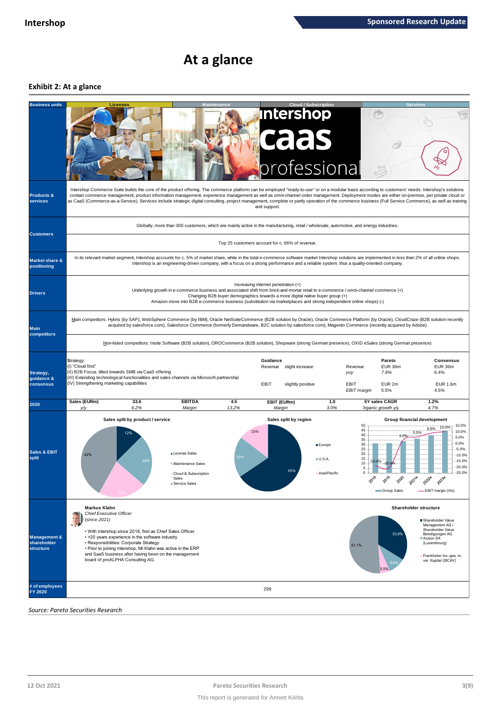## **At a glance**

## **Exhibit 2: At a glance**



*Source: Pareto Securities Research*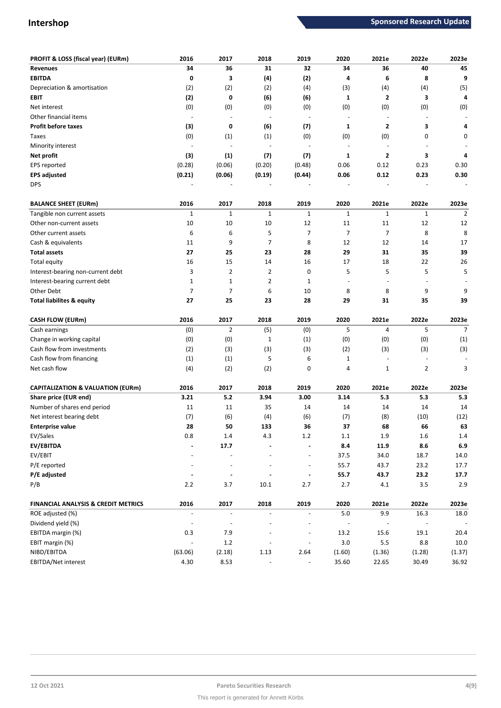| PROFIT & LOSS (fiscal year) (EURm)           | 2016                             | 2017                     | 2018                             | 2019                     | 2020                             | 2021e                   | 2022e                    | 2023e            |
|----------------------------------------------|----------------------------------|--------------------------|----------------------------------|--------------------------|----------------------------------|-------------------------|--------------------------|------------------|
| <b>Revenues</b>                              | 34                               | 36                       | 31                               | 32                       | 34                               | 36                      | 40                       | 45               |
| <b>EBITDA</b>                                | 0                                | 3                        | (4)                              | (2)                      | 4                                | 6                       | 8                        | 9                |
| Depreciation & amortisation                  | (2)                              | (2)                      | (2)                              | (4)                      | (3)                              | (4)                     | (4)                      | (5)              |
| <b>EBIT</b>                                  | (2)                              | 0                        | (6)                              | (6)                      | 1                                | 2                       | 3                        | 4                |
| Net interest                                 | (0)                              | (0)                      | (0)                              | (0)                      | (0)                              | (0)                     | (0)                      | (0)              |
| Other financial items                        |                                  |                          |                                  | $\sim$                   |                                  |                         |                          |                  |
| <b>Profit before taxes</b>                   | (3)                              | 0                        | (6)                              | (7)                      | 1                                | 2                       | 3                        | 4                |
| Taxes                                        | (0)                              | (1)                      | (1)                              | (0)                      | (0)                              | (0)                     | 0                        | 0                |
| Minority interest                            |                                  |                          |                                  | $\overline{\phantom{a}}$ | $\overline{\phantom{a}}$         |                         |                          |                  |
| Net profit                                   | (3)                              | (1)                      | (7)                              | (7)                      | 1                                | $\overline{\mathbf{2}}$ | 3                        | 4                |
| EPS reported                                 | (0.28)                           | (0.06)                   | (0.20)                           | (0.48)                   | 0.06                             | 0.12                    | 0.23                     | 0.30             |
| <b>EPS adjusted</b>                          | (0.21)                           | (0.06)                   | (0.19)                           | (0.44)                   | 0.06                             | 0.12                    | 0.23                     | 0.30             |
| <b>DPS</b>                                   |                                  |                          |                                  |                          |                                  |                         |                          |                  |
| <b>BALANCE SHEET (EURm)</b>                  | 2016                             | 2017                     | 2018                             | 2019                     | 2020                             | 2021e                   | 2022e                    | 2023e            |
| Tangible non current assets                  | $\mathbf{1}$                     | $\mathbf{1}$             | $\mathbf{1}$                     | $\mathbf 1$              | $\mathbf{1}$                     | $\mathbf{1}$            | $\mathbf{1}$             | $\overline{2}$   |
| Other non-current assets                     | 10                               | 10                       | 10                               | 12                       | 11                               | 11                      | 12                       | 12               |
|                                              | 6                                | 6                        | 5                                | $\overline{7}$           | $\overline{7}$                   | $\overline{7}$          | 8                        |                  |
| Other current assets                         |                                  |                          |                                  |                          |                                  |                         |                          | 8<br>17          |
| Cash & equivalents<br><b>Total assets</b>    | 11<br>27                         | 9<br>25                  | 7<br>23                          | 8<br>28                  | 12<br>29                         | 12<br>31                | 14<br>35                 | 39               |
|                                              |                                  |                          |                                  |                          |                                  |                         |                          |                  |
| Total equity                                 | 16                               | 15<br>$\overline{2}$     | 14                               | 16                       | 17                               | 18                      | 22<br>5                  | 26<br>5          |
| Interest-bearing non-current debt            | 3                                |                          | 2                                | 0                        | 5                                | 5                       |                          |                  |
| Interest-bearing current debt                | $\mathbf 1$                      | $\mathbf 1$              | 2                                | $\mathbf 1$              | ÷,                               |                         |                          |                  |
| Other Debt                                   | $\overline{7}$                   | $\overline{7}$           | 6                                | 10                       | 8                                | 8                       | 9                        | 9                |
| <b>Total liabilites &amp; equity</b>         | 27                               | 25                       | 23                               | 28                       | 29                               | 31                      | 35                       | 39               |
| <b>CASH FLOW (EURm)</b>                      | 2016                             | 2017                     | 2018                             | 2019                     | 2020                             | 2021e                   | 2022e                    | 2023e            |
| Cash earnings                                | (0)                              | $\overline{2}$           | (5)                              | (0)                      | 5                                | $\overline{a}$          | 5                        | $\overline{7}$   |
| Change in working capital                    | (0)                              | (0)                      | 1                                | (1)                      | (0)                              | (0)                     | (0)                      | (1)              |
| Cash flow from investments                   | (2)                              | (3)                      | (3)                              | (3)                      | (2)                              | (3)                     | (3)                      | (3)              |
| Cash flow from financing                     | (1)                              | (1)                      | 5                                | 6                        | 1                                |                         |                          |                  |
| Net cash flow                                | (4)                              | (2)                      | (2)                              | 0                        | 4                                | $\mathbf 1$             | $\overline{2}$           | 3                |
| <b>CAPITALIZATION &amp; VALUATION (EURm)</b> | 2016                             | 2017                     | 2018                             | 2019                     | 2020                             | 2021e                   | 2022e                    | 2023e            |
| Share price (EUR end)                        | 3.21                             | 5.2                      | 3.94                             | 3.00                     | 3.14                             | 5.3                     | 5.3                      | 5.3              |
| Number of shares end period                  | 11                               | 11                       | 35                               | 14                       | 14                               | 14                      | 14                       | 14               |
| Net interest bearing debt                    | (7)                              | (6)                      | (4)                              | (6)                      | (7)                              | (8)                     | (10)                     | (12)             |
| <b>Enterprise value</b>                      | 28                               | 50                       | 133                              | 36                       | 37                               | 68                      | 66                       | 63               |
| EV/Sales                                     | 0.8                              | 1.4                      | 4.3                              | $1.2\,$                  | $1.1\,$                          | 1.9                     | 1.6                      | 1.4              |
| EV/EBITDA                                    |                                  | 17.7                     |                                  |                          | 8.4                              | 11.9                    | 8.6                      | $\bf 6.9$        |
| EV/EBIT                                      |                                  |                          |                                  |                          | 37.5                             | 34.0                    | 18.7                     | 14.0             |
| P/E reported                                 |                                  |                          |                                  |                          | 55.7                             | 43.7                    | 23.2                     | 17.7             |
| P/E adjusted                                 |                                  |                          |                                  |                          | 55.7                             | 43.7                    | 23.2                     | 17.7             |
| P/B                                          | $2.2$                            | 3.7                      | 10.1                             | 2.7                      | 2.7                              | $4.1\,$                 | $3.5\,$                  | 2.9              |
| FINANCIAL ANALYSIS & CREDIT METRICS          |                                  | 2017                     | 2018                             |                          | 2020                             |                         |                          |                  |
| ROE adjusted (%)                             | 2016<br>$\overline{\phantom{a}}$ | $\overline{\phantom{a}}$ | $\overline{\phantom{a}}$         | 2019                     | $5.0\,$                          | 2021e<br>9.9            | 2022e<br>16.3            | 2023e<br>18.0    |
| Dividend yield (%)                           | $\overline{\phantom{a}}$         |                          |                                  |                          |                                  |                         | $\overline{\phantom{a}}$ |                  |
| EBITDA margin (%)                            | 0.3                              | 7.9                      |                                  |                          | $\overline{\phantom{a}}$<br>13.2 |                         | 19.1                     |                  |
| EBIT margin (%)                              | $\blacksquare$                   | $1.2\,$                  | $\overline{\phantom{a}}$         | $\overline{\phantom{a}}$ | 3.0                              | 15.6<br>5.5             | 8.8                      | 20.4<br>$10.0\,$ |
| NIBD/EBITDA                                  | (63.06)                          |                          |                                  | 2.64                     |                                  |                         |                          |                  |
| EBITDA/Net interest                          | 4.30                             | (2.18)<br>8.53           | 1.13<br>$\overline{\phantom{a}}$ | $\blacksquare$           | (1.60)<br>35.60                  | (1.36)<br>22.65         | (1.28)<br>30.49          | (1.37)<br>36.92  |
|                                              |                                  |                          |                                  |                          |                                  |                         |                          |                  |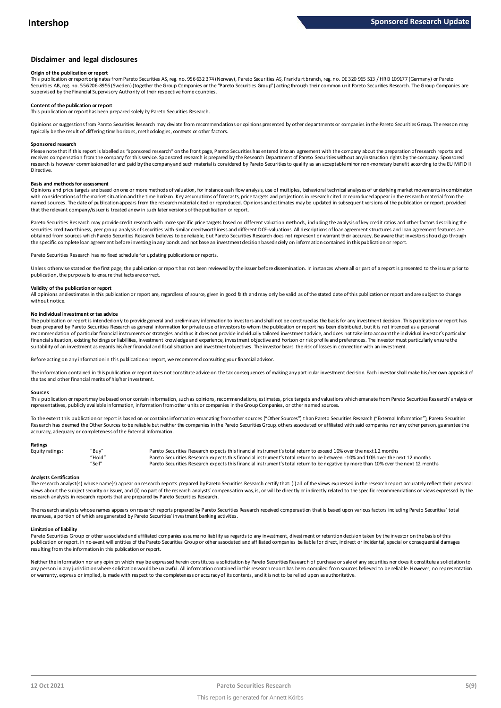#### **Disclaimer and legal disclosures**

#### **Origin of the publication or report**

This publication or report originates from Pareto Securities AS, reg. no. 956 632 374 (Norway), Pareto Securities AS, Frankfu rt branch, reg. no. DE 320 965 513 / HR B 109177 (Germany) or Pareto Securities AB, reg. no. 556206-8956 (Sweden) (together the Group Companies or the "Pareto Securities Group") acting through their common unit Pareto Securities Research. The Group Companies are supervised by the Financial Supervisory Authority of their respective home countries.

#### **Content of the publication or report**

This publication or report has been prepared solely by Pareto Securities Research.

Opinions or suggestions from Pareto Securities Research may deviate from recommendations or opinions presented by other departments or companies in the Pareto Securities Group. The reason may typically be the result of differing time horizons, methodologies, contexts or other factors.

#### **Sponsored research**

Please note that if this report is labelled as "sponsored research" on the front page, Pareto Securities has entered into an agreement with the company about the preparation of research reports and receives compensation from the company for this service. Sponsored research is prepared by the Research Department of Pareto Securities without any instruction rights by the company. Sponsored research is however commissioned for and paid by the company and such material is considered by Pareto Securities to qualify as an acceptable minor non-monetary benefit according to the EU MiFID II Directive.

#### **Basis and methods for assessment**

Opinions and price targets are based on one or more methods of valuation, for instance cash flow analysis, use of multiples, behavioral technical analyses of underlying market movements in combination with considerations of the market situation and the time horizon. Key assumptions of forecasts, price targets and projections in research cited or reproduced appear in the research material from the named sources. The date of publication appears from the research material cited or reproduced. Opinions and estimates may be updated in subsequent versions of the publication or report, provided in and social cited or repo that the relevant company/issuer is treated anew in such later versions of the publication or report.

Pareto Securities Research may provide credit research with more specific price targets based on different valuation methods, including the analysis of key credit ratios and other factors describing the securities creditworthiness, peer group analysis of securities with similar creditworthiness and different DCF-valuations. All descriptions of loan agreement structures and loan agreement features are obtained from sources which Pareto Securities Research believes to be reliable, but Pareto Securities Research does not represent or warrant their accuracy. Be aware that investors should go through the specific complete loan agreement before investing in any bonds and not base an investment decision based solely on information contained in this publication or report.

Pareto Securities Research has no fixed schedule for updating publications or reports.

Unless otherwise stated on the first page, the publication or report has not been reviewed by the issuer before dissemination. In instances where all or part of a report is presented to the issuer prior to publication, the purpose is to ensure that facts are correct.

#### **Validity of the publication or report**

All opinions and estimates in this publication or report are, regardless of source, given in good faith and may only be valid as of the stated date of this publication or report and are subject to change without notice

#### **No individual investment or tax advice**

The publication or report is intended only to provide general and preliminary information to investors and shall not be construed as the basis for any investment decision. This publication or report has been prepared by Pareto Securities Research as general information for private use of investors to whom the publication or report has been distributed, but it is not intended as a personal recommendation of particular financial instruments or strategies and thus it does not provide individually tailored investmen t advice, and does not take into account the individual investor's particular financial situation, existing holdings or liabilities, investment knowledge and experience, investment objective and horizon or risk profile and preferences. The investor must particularly ensure the suitability of an investment as regards his/her financial and fiscal situation and investment objectives. The investor bears the risk of losses in connection with an investment.

Before acting on any information in this publication or report, we recommend consulting your financial advisor.

The information contained in this publication or report does not constitute advice on the tax consequences of making any particular investment decision. Each investor shall make his/her own appraisal of the tax and other financial merits of his/her investment.

#### **Sources**

This publication or report may be based on or contain information, such as opinions, recommendations, estimates, price targets and valuations which emanate from Pareto Securities Research' analysts or representatives, publicly available information, information from other units or companies in the Group Companies, or other named sources.

To the extent this publication or report is based on or contains information emanating from other sources "Other Sources") than Pareto Securities Research ("External Information"), Pareto Securities Research has deemed the Other Sources to be reliable but neither the companies in the Pareto Securities Group, others associated or affiliated with said companies nor any other person, guarantee the accuracy, adequacy or completeness of the External Information.

#### **Ratings**

| Equity ratings: | "Buy"  | Pareto Securities Research expects this financial instrument's total return to exceed 10% over the next 12 months                   |
|-----------------|--------|-------------------------------------------------------------------------------------------------------------------------------------|
|                 | "Hold" | Pareto Securities Research expects this financial instrument's total return to be between -10% and 10% over the next 12 months      |
|                 | "Sell" | Pareto Securities Research expects this financial instrument's total return to be negative by more than 10% over the next 12 months |

Analysts Certification<br>The research analyst(s) whose name(s) appear on research reports prepared by Pareto Securities Research certify that: (i) all of the views expressed in the research report accurately reflect their pe "Hold"<br>"Pareto Securities Research expects this financial instrument's total return to be between -10% and 10% over the next 12 months<br>"Sell" Pareto Securities Research expects this financial instrument's total return to b research analysts in research reports that are prepared by Pareto Securities Research.

The research analysts whose names appears on research reports prepared by Pareto Securities Research received compensation that is based upon various factors including Pareto Securities' total revenues, a portion of which are generated by Pareto Securities' investment banking activities.

#### **Limitation of liability**

Pareto Securities Group or other associated and affiliated companies assume no liability as regards to any investment, divest ment or retention decision taken by the investor on the basis of this publication or report. In no event will entities of the Pareto Securities Group or other associated and affiliated companies be liable for direct, indirect or incidental, special or consequential damages resulting from the information in this publication or report.

Neither the information nor any opinion which may be expressed herein constitutes a solicitation by Pareto Securities Research of purchase or sale of any securities nor does it constitute a solicitation to any person in any jurisdiction where solicitation would be unlawful. All information contained in this research report has been compiled from sources believed to be reliable. However, no representation or warranty, express or implied, is made with respect to the completeness or accuracy of its contents, and it is not to be relied upon as authoritative.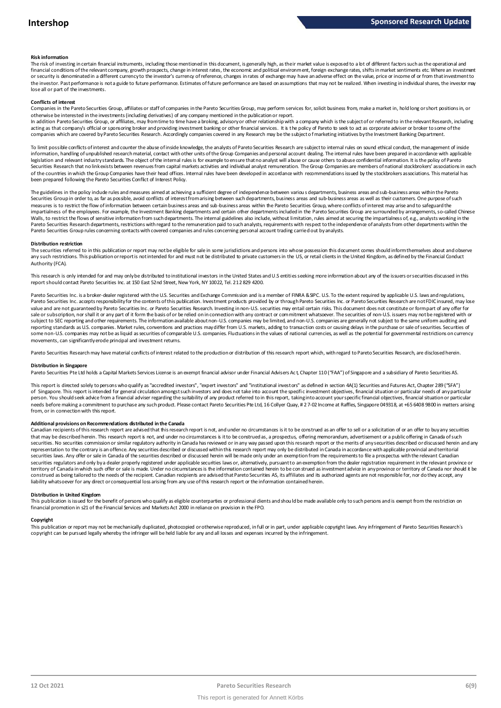#### **Risk information**

The risk of investing in certain financial instruments, including those mentioned in this document, is generally high, as their market value is exposed to a lot of different factors such as the operational and financial conditions of the relevant company, growth prospects, change in interest rates, the economic and political environment, foreign exchange rates, shifts in market sentiments etc. Where an investment or security is denominated in a different currency to the investor's currency of reference, changes in rates of exchange may have an adverse effect on the value, price or income of or from that investment to the investor. Past performance is not a guide to future performance. Estimates of future performance are based on assumptions that may not be realized. When investing in individual shares, the investor may lose all or part of the investments.

#### **Conflicts of interest**

Companies in the Pareto Securities Group, affiliates or staff of companies in the Pareto Securities Group, may perform services for, solicit business from, make a market in, hold long or short positions in, or otherwise be interested in the investments (including derivatives) of any company mentioned in the publication or report.

In addition Pareto Securities Group, or affiliates, may from time to time have a broking, advisory or other relationship with a company which is the subject of or referred to in the relevant Research, including acting as that company's official or sponsoring broker and providing investment banking or other financial services. It is the policy of Pareto to seek to act as corporate adviser or broker to some of the companies which are covered by Pareto Securities Research. Accordingly companies covered in any Research may be the subject o f marketing initiatives by the Investment Banking Department.

To limit possible conflicts of interest and counter the abuse of inside knowledge, the analysts of Pareto Securities Research are subject to internal rules on sound ethical conduct, the management of inside<br>information, ha legislation and relevant industry standards. The object of the internal rules is for example to ensure that no analyst will abuse or cause others to abuse confidential information. It is the policy of Pareto Securities Research that no link exists between revenues from capital markets activities and individual analyst remuneration. The Group Companies are members of national stockbrokers' associations in each of the countries in which the Group Companies have their head offices. Internal rules have been developed in accordance with recommendations issued by the stockbrokers associations. This material has been prepared following the Pareto Securities Conflict of Interest Policy.

The guidelines in the policy indude rules and measures aimed at achieving a sufficient degree of independence between variou s departments, business areas and sub-business areas within the Pareto Securities Group in order to, as far as possible, avoid conflicts of interest from arising between such departments, business areas and sub-business areas as well as their customers. One purpose of such measures is to restrict the flow of information between certain business areas and sub-business areas within the Pareto Securities Group, where conflicts of interest may arise and to safeguard the impartialness of the employees. For example, the Investment Banking departments and certain other departments included in the Pareto Securities Group are surrounded by arrangements, so-called Chinese Walls, to restrict the flows of sensitive information from such departments. The internal guidelines also include, without limitation, rules aimed at securing the impartialness of, e.g., analysts working in the Pareto Securities Research departments, restrictions with regard to the remuneration paid to such analysts, requirements with respect to the independence of analysts from other departments within the Pareto Securities Group rules concerning contacts with covered companies and rules concerning personal account trading carried out by analysts.

#### **Distribution restriction**

The securities referred to in this publication or report may not be eligible for sale in some jurisdictions and persons into whose possession this document comes should inform themselves about and observe Pareto Securities Group rules concerning contacts with covered companies and rules concerning personal account trading carried out by analysts.<br>Distribution restriction<br>The securities referred to in this publication or rep Authority (FCA).

This research is only intended for and may only be distributed to institutional investors in the United States and U.S entities seeking more information about any of the issuers or securities discussed in this report should contact Pareto Securities Inc. at 150 East 52nd Street, New York, NY 10022, Tel. 212 829 4200.

Pareto Securities Inc. is a broker-dealer registered with the U.S. Securities and Exchange Commission and is a member of FINRA & SIPC. U.S. To the extent required by applicable U.S. laws and regulations, Pareto Securities Inc. accepts responsibility for the contents of this publication. Investment products provided by or through Pareto Securities Inc. or Pareto Securities Research are not FDIC insured, may lose value and are not guaranteed by Pareto Securities Inc. or Pareto Securities Research. Investing in non-U.S. securities may entail certain risks. This document does not constitute or form part of any offer for sale or subscription, nor shall it or any part of it form the basis of or be relied on in connection with any contract or commitment whatsoever. The securities of non-U.S. issuers may not be registered with or subject to SEC reporting and other requirements. The information available about non-U.S. companies may be limited, and non-U.S. companies are generally not subject to the same uniform auditing and reporting standards as U.S. companies. Market rules, conventions and practices may differ from U.S. markets, adding to transaction costs or causing delays in the purchase or sale of securities. Securities of some non-U.S. companies may not be as liquid as securities of comparable U.S. companies. Fluctuations in the values of national currencies, as well as the potential for governmental restrictions on currency movements, can significantly erode principal and investment returns.

Pareto Securities Research may have material conflicts of interest related to the production or distribution of this research report which, with regard to Pareto Securities Research, are disclosed herein.

#### **Distribution in Singapore**

Pareto Securities Pte Ltd holds a Capital Markets Services License is an exempt financial advisor under Financial Advisers Act, Chapter 110 ("FAA") of Singapore and a subsidiary of Pareto Securities AS.

This report is directed solely to persons who qualify as "accredited investors", "expert investors" and "institutional investors" as defined in section 4A(1) Securities and Futures Act, Chapter 289 ("SFA") o f Singapore. This report is intended for general circulation amongst such investors and does not take into account the specific investment objectives, financial situation or particular needs of any particular person. You should seek advice from a financial adviser regarding the suitability of any product referred to in this report, taking into account your specific financial objectives, financial situation or particular needs before making a commitment to purchase any such product. Please contact Pareto Securities Pte Ltd, 16 Collyer Quay, # 2 7-02 Income at Raffles, Singapore 049318, at +65 6408 9800 in matters arising from, or in connection with this report.

Additional provisions on Recommendations distributed in the Canada<br>Canadian recipients of this research report are advised that this research report is not, and under no drecumstances is it to be construed as an offer to s needs before making a commitment to purchase any such product. Please contact Pareto Securities Pte Ltd, 16 Collyer Quay, #2 7-02 Income at Raffles, Singapore 049318, at +65 6408 9800 in matters arisi<br>from, or in connectio from, or in connection with this report.<br>Additional provisions on Recommendations distributed in the Canada<br>Canadian recipients of this research report are advised that this research report is not, and under no circumstanc securities. No securities commission or similar regulatory authority in Canada has reviewed or in any way passed upon this research report or the merits of any securities described or discussed herein and any representation to the contrary is an offence. Any securities described or discussed within this research report may only be distributed in Canada in accordance with applicable provincial and territorial<br>securities laws. An securities regulators and only by a dealer properly registered under applicable securities laws or, alternatively, pursuant to an exemption from the dealer registration requirement in the relevant province or territory of Canada in which such offer or sale is made. Under no circumstances is the information contained herein to be con strued as investment advice in any province or territory of Canada nor should it be<br>construed as liability whatsoever for any direct or consequential loss arising from any use of this research report or the information contained herein.

Distribution in United Kingdom<br>This publication is issued for the benefit of persons who qualify as eligible counterparties or professional dients and should be made available only to such persons and is exempt from the re financial promotion in s21 of the Financial Services and Markets Act 2000 in reliance on provision in the FPO.

Copyright<br>This publication or report may not be mechanically duplicated, photocopied or otherwise reproduced, in full or in part, under applicable copyright laws. Any infringement of Pareto Securities Research's copyright can be pursued legally whereby the infringer will be held liable for any and all losses and expenses incurred by the infringement.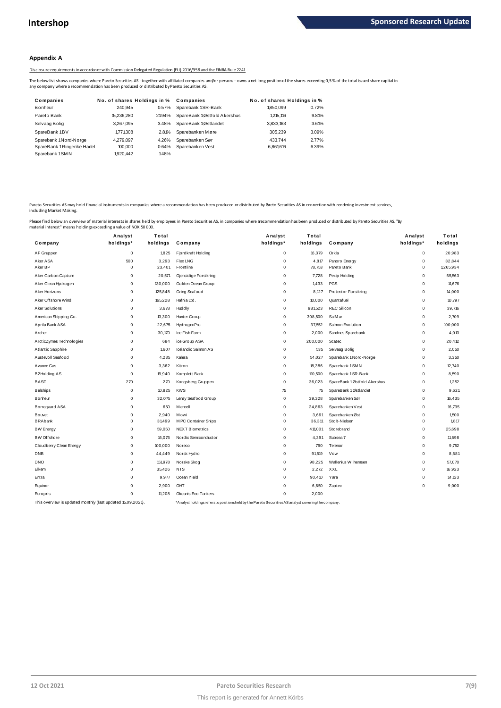#### **Appendix A**

Disclosure requirements in accordance with Commission Delegated Regulation (EU) 2016/958 and the FINRA Rule 2241

The below list shows companies where Pareto Securities AS - together with affiliated companies and/or persons – owns a net long position of the shares exceeding 0,5 % of the total issued share capital in<br>any company where

|                                                                                              |                             |        | Disclosure requirements in accordance with Commission Delegated Regulation (EU) 2016/958 and the FINRA Rule 2241                                                  |                             |       |
|----------------------------------------------------------------------------------------------|-----------------------------|--------|-------------------------------------------------------------------------------------------------------------------------------------------------------------------|-----------------------------|-------|
| iny company where a recommendation has been produced or distributed by Pareto Securities AS. |                             |        | he below list shows companies where Pareto Securities AS - together with affiliated companies and/or persons - owns a net long position of the shares exceeding ( |                             |       |
| Companies                                                                                    | No. of shares Holdings in % |        | Companies                                                                                                                                                         | No. of shares Holdings in % |       |
| Bonheur                                                                                      | 240.945                     | 0.57%  | Sparebank 1SR-Bank                                                                                                                                                | 1850.099                    | 0.72% |
| Pareto Bank                                                                                  | 15.236.280                  | 21.94% | SpareBank 1Østfold Akershus                                                                                                                                       | 1.215.116                   | 9.81% |
| Selvaag Bolig                                                                                | 3.267.095                   | 3.48%  | SpareBank 1Østlandet                                                                                                                                              | 3.833.163                   | 3.61% |
| SpareBank 1BV                                                                                | 1.771.308                   | 2.81%  | Sparebanken Møre                                                                                                                                                  | 305.239                     | 3.09% |
| Sparebank 1Nord-Norge                                                                        | 4.279.097                   | 4.26%  | Sparebanken Sør                                                                                                                                                   | 433.744                     | 2.77% |
| SpareBank 1Ringerike Hadel                                                                   | 100,000                     | 0.64%  | Sparebanken Vest                                                                                                                                                  | 6,861,616                   | 6.39% |
| Sparebank 1SMN                                                                               | 1,920,442                   | 1.48%  |                                                                                                                                                                   |                             |       |
|                                                                                              |                             |        |                                                                                                                                                                   |                             |       |

Pareto Securities AS may hold financial instruments in companies where a recommendation has been produced or distributed by Breto Securities AS in connection with rendering investment services,<br>including Market Making.

|                                                             | Analyst     | Total    |                                                                                                    | Analyst     | Total    |                             | Analyst     | Total     |
|-------------------------------------------------------------|-------------|----------|----------------------------------------------------------------------------------------------------|-------------|----------|-----------------------------|-------------|-----------|
| Company                                                     | holdings*   | holdings | Company                                                                                            | holdings*   | holdings | Company                     | holdings*   | holdings  |
| AF Gruppen                                                  | $\mathbf 0$ | 1,825    | Fjordkraft Holding                                                                                 | 0           | 16,379   | Orkla                       | 0           | 20,983    |
| Aker ASA                                                    | 500         | 3,293    | <b>Flex LNG</b>                                                                                    | 0           | 4,817    | Panoro Energy               | 0           | 32,844    |
| Aker BP                                                     | 0           | 23,401   | Frontline                                                                                          | $\mathbf 0$ | 78,753   | Pareto Bank                 | 0           | 1,265,934 |
| Aker Carbon Capture                                         | 0           | 20,571   | Gjensidige Forsikring                                                                              | $\mathbf 0$ | 7.728    | Pexip Holding               | 0           | 65,563    |
| Aker Clean Hydrogen                                         | 0           | 130,000  | Golden Ocean Group                                                                                 | 0           | 1,433    | <b>PGS</b>                  | 0           | 11,676    |
| Aker Horizons                                               | 0           | 125,848  | Grieg Seafood                                                                                      | 0           | 8.127    | <b>Protector Forsikring</b> | 0           | 14,000    |
| Aker Offshore Wind                                          | 0           | 165,228  | Hafnia Ltd.                                                                                        | 0           | 10,000   | Quantafuel                  | 0           | 10,797    |
| <b>Aker Solutions</b>                                       | 0           | 3,678    | Huddly                                                                                             | $\mathbf 0$ | 981,523  | <b>REC Silicon</b>          | 0           | 39,716    |
| American Shipping Co.                                       | 0           | 13,300   | Hunter Group                                                                                       | 0           | 308,500  | SalM ar                     | 0           | 2,709     |
| Aprila Bank ASA                                             | $\mathbf 0$ | 22,675   | HydrogenPro                                                                                        | $\mathbf 0$ | 37,552   | Salmon Evolution            | $\mathbf 0$ | 100,000   |
| Archer                                                      | $\mathbf 0$ | 30,170   | Ice Fish Farm                                                                                      | 0           | 2,000    | Sandnes Sparebank           | 0           | 4,013     |
| ArcticZymes Technologies                                    | 0           | 684      | ice Group ASA                                                                                      | $\mathbf 0$ | 200,000  | <b>Scatec</b>               | 0           | 20,412    |
| Atlantic Sapphire                                           | 0           | 1,607    | Icelandic Salmon AS                                                                                | 0           | 535      | Selvaag Bolig               | 0           | 2,050     |
| Austevoll Seafood                                           | 0           | 4,235    | Kalera                                                                                             | 0           | 54,027   | Sparebank 1 Nord-Norge      | 0           | 3,350     |
| Avance Gas                                                  | 0           | 3,362    | Kitron                                                                                             | 0           | 18,386   | Sparebank 1 SMN             | 0           | 12,740    |
| B2Holding AS                                                | 0           | 19,940   | Komplett Bank                                                                                      | 0           | 110,500  | Sparebank 1SR-Bank          | 0           | 8,590     |
| <b>BASF</b>                                                 | 270         | 270      | Kongsberg Gruppen                                                                                  | 0           | 36,023   | SpareBank 1Østfold Akershus | 0           | 1,252     |
| <b>Belships</b>                                             | 0           | 10,825   | <b>KWS</b>                                                                                         | 75          | 75       | SpareBank 1Østlandet        | 0           | 9,621     |
| Bonheur                                                     | $\mathbf 0$ | 32,075   | Lerøy Seafood Group                                                                                | $\mathbf 0$ | 39,328   | Sparebanken Sør             | 0           | 16,435    |
| Borregaard ASA                                              | 0           | 650      | M ercell                                                                                           | 0           | 24,863   | Sparebanken Vest            | 0           | 16,735    |
| Bouvet                                                      | 0           | 2.940    | Mowi                                                                                               | 0           | 3,661    | Sparebanken Øst             | 0           | 1,500     |
| <b>BRAbank</b>                                              | 0           | 31,499   | M PC Container Ships                                                                               | $\mathbf 0$ | 36,311   | Stolt-Nielser               | 0           | 1.817     |
| <b>BW Energy</b>                                            | 0           | 59,050   | <b>NEXT Biometrics</b>                                                                             | 0           | 411,001  | Storebrand                  | 0           | 25,698    |
| <b>BW Offshore</b>                                          | $\mathbf 0$ | 16,076   | Nordic Semiconductor                                                                               | $\mathbf 0$ | 4,391    | Subsea 7                    | $\mathbf 0$ | 11,698    |
| Cloudberry Clean Energy                                     | 0           | 100,000  | Noreco                                                                                             | 0           | 790      | Telenor                     | 0           | 9,752     |
| <b>DNB</b>                                                  | 0           | 44,449   | Norsk Hydro                                                                                        | $\mathbf 0$ | 91.519   | Vow                         | $\mathbf 0$ | 8,681     |
| <b>DNO</b>                                                  | 0           | 151,978  | Norske Skog                                                                                        | $\mathbf 0$ | 98,225   | Wallenius Wilhemsen         | 0           | 57,070    |
| Elkem                                                       | 0           | 35,426   | <b>NTS</b>                                                                                         | 0           | 2,272    | XXL                         | 0           | 16,923    |
| Entra                                                       | $\mathbf 0$ | 9,977    | Ocean Yield                                                                                        | $\mathbf 0$ | 90,410   | Yara                        | 0           | 14,133    |
| Equinor                                                     | 0           | 2,900    | OHT                                                                                                | 0           | 6,650    | Zaptec                      | 0           | 9,000     |
| Europris                                                    | $\mathbf 0$ | 11.208   | Okeanis Eco Tankers                                                                                | 0           | 2,000    |                             |             |           |
| This overview is updated monthly (last updated 15.09.2021). |             |          | *Analyst holdings referst opositionsheld by the Pareto Securities AS analyst covering the company. |             |          |                             |             |           |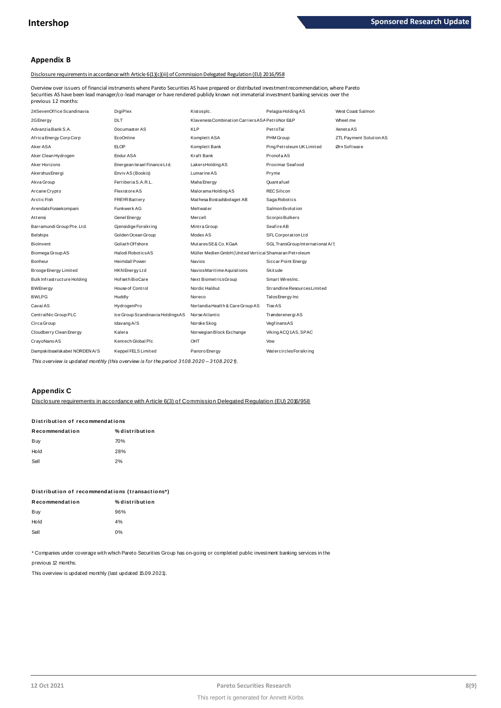## **Appendix B**

#### Disclosure requirements in accordance with Article 6(1)(c)(iii) of Commission Delegated Regulation (EU) 2016/958

Overview over issuers of financial instruments where Pareto Securities AS have prepared or distributed investment recommendation, where Pareto previous 12 months:

| Securities AS have been lead manager/co-lead manager or have rendered publidy known not immaterial investment banking services over the<br>previous 12 months: |                                  |                                                        |                                  |                         |
|----------------------------------------------------------------------------------------------------------------------------------------------------------------|----------------------------------|--------------------------------------------------------|----------------------------------|-------------------------|
| 24SevenOffice Scandinavia                                                                                                                                      | DigiPlex                         | Kistosplc.                                             | Pelagia Holding AS               | West Coast Salmon       |
| 2G Energy                                                                                                                                                      | <b>DLT</b>                       | Klaveness Combination Carriers ASA PetroNor E&P        |                                  | Wheel.me                |
| Advanzia Bank S.A.                                                                                                                                             | Documaster AS                    | <b>KLP</b>                                             | PetroTal                         | <b>XenetaAS</b>         |
| Africa Energy Corp Corp                                                                                                                                        | EcoOnline                        | Komplett ASA                                           | PHM Group                        | ZTL Payment Solution AS |
| Aker ASA                                                                                                                                                       | <b>ELOP</b>                      | Komplett Bank                                          | Ping Petroleum UK Limited        | Ørn Software            |
| Aker Clean Hydrogen                                                                                                                                            | Endur ASA                        | Kraft Bank                                             | PronofaAS                        |                         |
| Aker Horizons                                                                                                                                                  | Energean Israel Finance Ltd.     | LakersHoldingAS                                        | Proximar Seafood                 |                         |
| Akershus Energi                                                                                                                                                | Enviv AS (Bookis)                | Lumarine AS                                            | Pryme                            |                         |
| Akva Group                                                                                                                                                     | Fertiberia S.A.R.L.              | Maha Energy                                            | Quant af uel                     |                         |
| Arcane Crypto                                                                                                                                                  | <b>Flexistore AS</b>             | Malorama Holding AS                                    | <b>REC Silicon</b>               |                         |
| Arctic Fish                                                                                                                                                    | <b>FREYR Battery</b>             | Mathesa Bost adsbolaget AB                             | Saga Robotics                    |                         |
| ArendalsFossekompani                                                                                                                                           | Funkwerk AG                      | <b>Melt water</b>                                      | Salmon Evolution                 |                         |
| Attensi                                                                                                                                                        | Genel Energy                     | Mercell                                                | Scorpio Bulkers                  |                         |
| Barramundi Group Pte. Ltd.                                                                                                                                     | Gjensidige Forsikring            | Mint ra Group                                          | Seafire AB                       |                         |
| <b>Belships</b>                                                                                                                                                | Golden Ocean Group               | Modex AS                                               | SFL Corporation Ltd              |                         |
| Biolnvent                                                                                                                                                      | Goliath Offshore                 | MutaresSE&Co.KGaA                                      | SGL TransGroup International A/S |                         |
| Biomega Group AS                                                                                                                                               | Halodi RoboticsAS                | Müller Medien GmbH (United Vertical Shamaran Petroleum |                                  |                         |
| Bonheur                                                                                                                                                        | <b>Heimdall Power</b>            | <b>Navios</b>                                          | Siccar Point Energy              |                         |
| Brooge Energy Limited                                                                                                                                          | HKN Energy Ltd                   | NaviosMaritime Aquisitions                             | Skitude                          |                         |
| Bulk Infrastructure Holding                                                                                                                                    | Hof set h BioCare                | Next BiometricsGroup                                   | Smart WiresInc.                  |                         |
| <b>BWEnergy</b>                                                                                                                                                | House of Control                 | Nordic Halibut                                         | Strandline Resources Limited     |                         |
| <b>BWLPG</b>                                                                                                                                                   | Huddly                           | Noreco                                                 | Talos Energy Inc                 |                         |
| Cavai AS                                                                                                                                                       | HydrogenPro                      | Norlandia Health & Care Group AS                       | Tise AS                          |                         |
| CentralNic Group PLC                                                                                                                                           | Ice Group Scandinavia HoldingsAS | Norse Atlantic                                         | Trønderenergi AS                 |                         |
| Circa Group                                                                                                                                                    | Idavang A/S                      | Norske Skog                                            | VegfinansAS                      |                         |
| Cloudberry Clean Energy                                                                                                                                        | Kalera                           | Norwegian Block Exchange                               | Viking ACQ1AS, SPAC              |                         |
| CrayoNano AS                                                                                                                                                   | Kentech Global Plc               | OHT                                                    | Vow                              |                         |
| Dampskibsselskabet NORDEN A/S                                                                                                                                  | Keppel FELS Limited              | Panoro Energy                                          | WatercirclesForsikring           |                         |

*This overview is updated monthly (this overview is for the period 31.08.2020 – 31.08.2021).*

## **Appendix C**

Disclosure requirements in accordance with Article 6(3) of Commission Delegated Regulation (EU) 2016/958

# <u>Disclosure requirements in accordar</u><br>Distribution of recommendations<br>.

| Distribution of recommendations |  |  |  |  |  |
|---------------------------------|--|--|--|--|--|
| % distribution                  |  |  |  |  |  |
| 70%                             |  |  |  |  |  |
| 28%                             |  |  |  |  |  |
| 2%                              |  |  |  |  |  |
|                                 |  |  |  |  |  |

|                | Distribution of recommendations (transactions*) |
|----------------|-------------------------------------------------|
| Recommendation | % distribution                                  |

| Recommendation | % distributio |
|----------------|---------------|
| Buy            | 96%           |
| Hold           | 4%            |
| Sell           | 0%            |
|                |               |

\* Companies under coverage with which Pareto Securities Group has on-going or completed public investment banking services in the

previous 12 months.

This overview is updated monthly (last updated 15.09.2021).